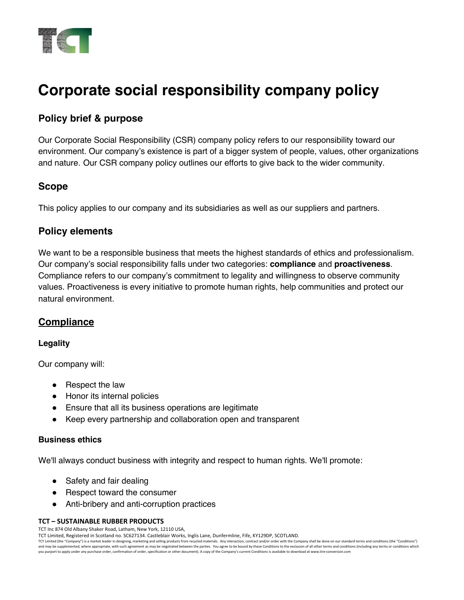

# **Corporate social responsibility company policy**

# **Policy brief & purpose**

Our Corporate Social Responsibility (CSR) company policy refers to our responsibility toward our environment. Our company's existence is part of a bigger system of people, values, other organizations and nature. Our CSR company policy outlines our efforts to give back to the wider community.

# **Scope**

This policy applies to our company and its subsidiaries as well as our suppliers and partners.

# **Policy elements**

We want to be a responsible business that meets the highest standards of ethics and professionalism. Our company's social responsibility falls under two categories: **compliance** and **proactiveness**. Compliance refers to our company's commitment to legality and willingness to observe community values. Proactiveness is every initiative to promote human rights, help communities and protect our natural environment.

# **Compliance**

## **Legality**

Our company will:

- Respect the law
- Honor its internal policies
- Ensure that all its business operations are legitimate
- Keep every partnership and collaboration open and transparent

## **Business ethics**

We'll always conduct business with integrity and respect to human rights. We'll promote:

- Safety and fair dealing
- Respect toward the consumer
- Anti-bribery and anti-corruption practices

#### **TCT – SUSTAINABLE RUBBER PRODUCTS**

TCT Inc 874 Old Albany Shaker Road, Latham, New York, 12110 USA,

TCT Limited, Registered in Scotland no. SC627134. Castleblair Works, Inglis Lane, Dunfermline, Fife, KY129DP, SCOTLAND.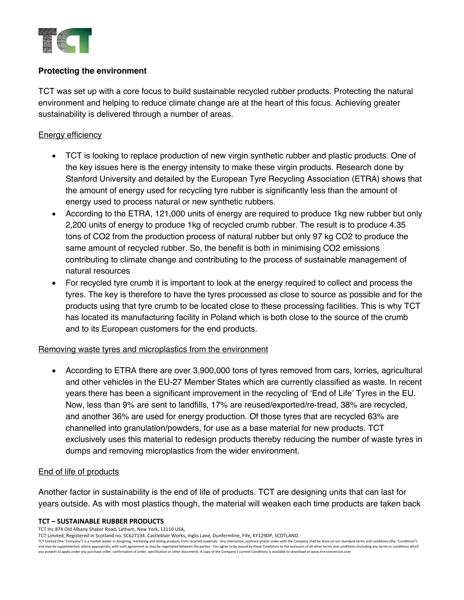

## **Protecting the environment**

TCT was set up with a core focus to build sustainable recycled rubber products. Protecting the natural environment and helping to reduce climate change are at the heart of this focus. Achieving greater sustainability is delivered through a number of areas.

## Energy efficiency

- TCT is looking to replace production of new virgin synthetic rubber and plastic products. One of the key issues here is the energy intensity to make these virgin products. Research done by Stanford University and detailed by the European Tyre Recycling Association (ETRA) shows that the amount of energy used for recycling tyre rubber is significantly less than the amount of energy used to process natural or new synthetic rubbers.
- According to the ETRA, 121,000 units of energy are required to produce 1kg new rubber but only 2,200 units of energy to produce 1kg of recycled crumb rubber. The result is to produce 4.35 tons of CO2 from the production process of natural rubber but only 97 kg CO2 to produce the same amount of recycled rubber. So, the benefit is both in minimising CO2 emissions contributing to climate change and contributing to the process of sustainable management of natural resources
- For recycled tyre crumb it is important to look at the energy required to collect and process the tyres. The key is therefore to have the tyres processed as close to source as possible and for the products using that tyre crumb to be located close to these processing facilities. This is why TCT has located its manufacturing facility in Poland which is both close to the source of the crumb and to its European customers for the end products.

## Removing waste tyres and microplastics from the environment

• According to ETRA there are over 3,900,000 tons of tyres removed from cars, lorries, agricultural and other vehicles in the EU-27 Member States which are currently classified as waste. In recent years there has been a significant improvement in the recycling of 'End of Life' Tyres in the EU. Now, less than 9% are sent to landfills, 17% are reused/exported/re-tread, 38% are recycled, and another 36% are used for energy production. Of those tyres that are recycled 63% are channelled into granulation/powders, for use as a base material for new products. TCT exclusively uses this material to redesign products thereby reducing the number of waste tyres in dumps and removing microplastics from the wider environment.

## End of life of products

Another factor in sustainability is the end of life of products. TCT are designing units that can last for years outside. As with most plastics though, the material will weaken each time products are taken back

#### **TCT – SUSTAINABLE RUBBER PRODUCTS**

TCT Inc 874 Old Albany Shaker Road, Latham, New York, 12110 USA,

TCT Limited, Registered in Scotland no. SC627134. Castleblair Works, Inglis Lane, Dunfermline, Fife, KY129DP, SCOTLAND.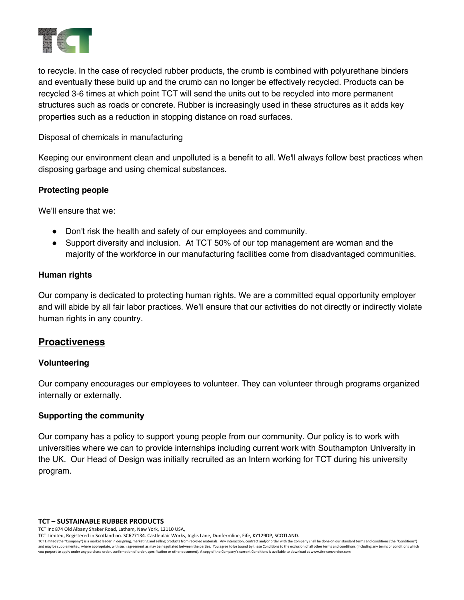

to recycle. In the case of recycled rubber products, the crumb is combined with polyurethane binders and eventually these build up and the crumb can no longer be effectively recycled. Products can be recycled 3-6 times at which point TCT will send the units out to be recycled into more permanent structures such as roads or concrete. Rubber is increasingly used in these structures as it adds key properties such as a reduction in stopping distance on road surfaces.

### Disposal of chemicals in manufacturing

Keeping our environment clean and unpolluted is a benefit to all. We'll always follow best practices when disposing garbage and using chemical substances.

## **Protecting people**

We'll ensure that we:

- Don't risk the health and safety of our employees and community.
- ! Support diversity and inclusion. At TCT 50% of our top management are woman and the majority of the workforce in our manufacturing facilities come from disadvantaged communities.

## **Human rights**

Our company is dedicated to protecting human rights. We are a committed equal opportunity employer and will abide by all fair labor practices. We'll ensure that our activities do not directly or indirectly violate human rights in any country.

## **Proactiveness**

## **Volunteering**

Our company encourages our employees to volunteer. They can volunteer through programs organized internally or externally.

## **Supporting the community**

Our company has a policy to support young people from our community. Our policy is to work with universities where we can to provide internships including current work with Southampton University in the UK. Our Head of Design was initially recruited as an Intern working for TCT during his university program.

**TCT – SUSTAINABLE RUBBER PRODUCTS**

TCT Inc 874 Old Albany Shaker Road, Latham, New York, 12110 USA,

TCT Limited, Registered in Scotland no. SC627134. Castleblair Works, Inglis Lane, Dunfermline, Fife, KY129DP, SCOTLAND.